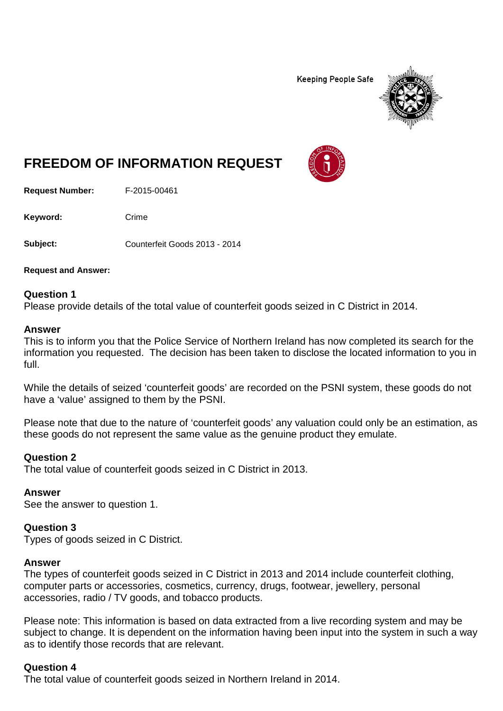**Keeping People Safe** 



# **FREEDOM OF INFORMATION REQUEST**

**Request Number:** F-2015-00461

Keyword: Crime

**Subject:** Counterfeit Goods 2013 - 2014

**Request and Answer:**

#### **Question 1**

Please provide details of the total value of counterfeit goods seized in C District in 2014.

#### **Answer**

This is to inform you that the Police Service of Northern Ireland has now completed its search for the information you requested. The decision has been taken to disclose the located information to you in full.

While the details of seized 'counterfeit goods' are recorded on the PSNI system, these goods do not have a 'value' assigned to them by the PSNI.

Please note that due to the nature of 'counterfeit goods' any valuation could only be an estimation, as these goods do not represent the same value as the genuine product they emulate.

#### **Question 2**

The total value of counterfeit goods seized in C District in 2013.

#### **Answer**

See the answer to question 1.

#### **Question 3**

Types of goods seized in C District.

#### **Answer**

The types of counterfeit goods seized in C District in 2013 and 2014 include counterfeit clothing, computer parts or accessories, cosmetics, currency, drugs, footwear, jewellery, personal accessories, radio / TV goods, and tobacco products.

Please note: This information is based on data extracted from a live recording system and may be subject to change. It is dependent on the information having been input into the system in such a way as to identify those records that are relevant.

#### **Question 4**

The total value of counterfeit goods seized in Northern Ireland in 2014.